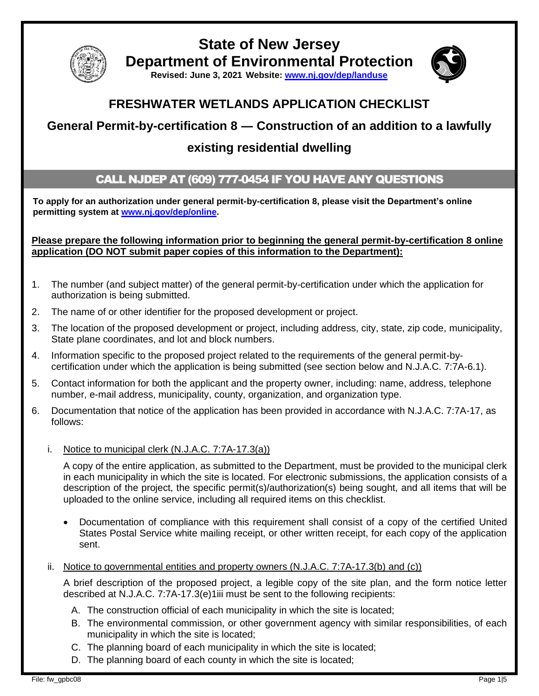

**State of New Jersey Department of Environmental Protection**

**Revised: June 3, 2021 Website: [www.nj.gov/dep/landuse](http://www.nj.gov/dep/landuse)**



# **FRESHWATER WETLANDS APPLICATION CHECKLIST**

# **General Permit-by-certification 8 ― Construction of an addition to a lawfully**

# **existing residential dwelling**

### CALL NJDEP AT (609) 777-0454 IF YOU HAVE ANY QUESTIONS

**To apply for an authorization under general permit-by-certification 8, please visit the Department's online permitting system at [www.nj.gov/dep/online.](http://www.nj.gov/dep/online)** 

### **Please prepare the following information prior to beginning the general permit-by-certification 8 online application (DO NOT submit paper copies of this information to the Department):**

- 1. The number (and subject matter) of the general permit-by-certification under which the application for authorization is being submitted.
- 2. The name of or other identifier for the proposed development or project.
- 3. The location of the proposed development or project, including address, city, state, zip code, municipality, State plane coordinates, and lot and block numbers.
- 4. Information specific to the proposed project related to the requirements of the general permit-bycertification under which the application is being submitted (see section below and N.J.A.C. 7:7A-6.1).
- 5. Contact information for both the applicant and the property owner, including: name, address, telephone number, e-mail address, municipality, county, organization, and organization type.
- 6. Documentation that notice of the application has been provided in accordance with N.J.A.C. 7:7A-17, as follows:
	- i. Notice to municipal clerk (N.J.A.C. 7:7A-17.3(a))

A copy of the entire application, as submitted to the Department, must be provided to the municipal clerk in each municipality in which the site is located. For electronic submissions, the application consists of a description of the project, the specific permit(s)/authorization(s) being sought, and all items that will be uploaded to the online service, including all required items on this checklist.

- Documentation of compliance with this requirement shall consist of a copy of the certified United States Postal Service white mailing receipt, or other written receipt, for each copy of the application sent.
- ii. Notice to governmental entities and property owners  $(N.J.A.C. 7:7A-17.3(b)$  and  $(c)$ )

A brief description of the proposed project, a legible copy of the site plan, and the form notice letter described at N.J.A.C. 7:7A-17.3(e)1iii must be sent to the following recipients:

- A. The construction official of each municipality in which the site is located;
- B. The environmental commission, or other government agency with similar responsibilities, of each municipality in which the site is located;
- C. The planning board of each municipality in which the site is located;
- D. The planning board of each county in which the site is located;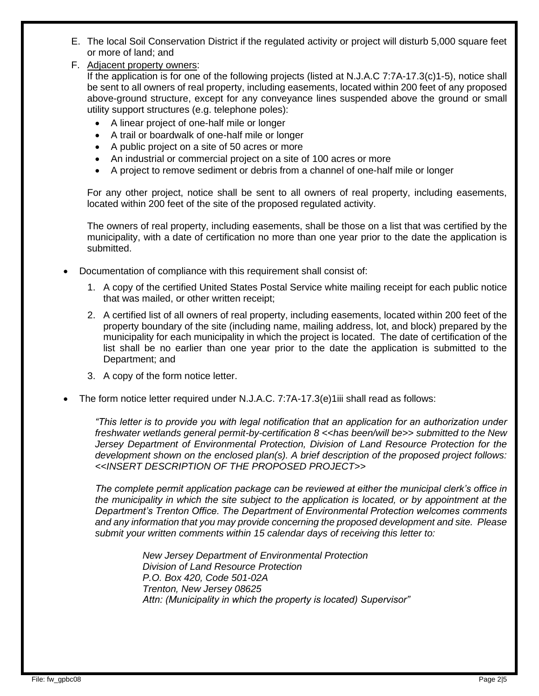- E. The local Soil Conservation District if the regulated activity or project will disturb 5,000 square feet or more of land; and
- F. Adjacent property owners:

If the application is for one of the following projects (listed at N.J.A.C 7:7A-17.3(c)1-5), notice shall be sent to all owners of real property, including easements, located within 200 feet of any proposed above-ground structure, except for any conveyance lines suspended above the ground or small utility support structures (e.g. telephone poles):

- A linear project of one-half mile or longer
- A trail or boardwalk of one-half mile or longer
- A public project on a site of 50 acres or more
- An industrial or commercial project on a site of 100 acres or more
- A project to remove sediment or debris from a channel of one-half mile or longer

For any other project, notice shall be sent to all owners of real property, including easements, located within 200 feet of the site of the proposed regulated activity.

The owners of real property, including easements, shall be those on a list that was certified by the municipality, with a date of certification no more than one year prior to the date the application is submitted.

- Documentation of compliance with this requirement shall consist of:
	- 1. A copy of the certified United States Postal Service white mailing receipt for each public notice that was mailed, or other written receipt;
	- 2. A certified list of all owners of real property, including easements, located within 200 feet of the property boundary of the site (including name, mailing address, lot, and block) prepared by the municipality for each municipality in which the project is located. The date of certification of the list shall be no earlier than one year prior to the date the application is submitted to the Department; and
	- 3. A copy of the form notice letter.
- The form notice letter required under N.J.A.C. 7:7A-17.3(e)1iii shall read as follows:

*"This letter is to provide you with legal notification that an application for an authorization under freshwater wetlands general permit-by-certification 8 <<has been/will be>> submitted to the New Jersey Department of Environmental Protection, Division of Land Resource Protection for the development shown on the enclosed plan(s). A brief description of the proposed project follows: <<INSERT DESCRIPTION OF THE PROPOSED PROJECT>>*

*The complete permit application package can be reviewed at either the municipal clerk's office in the municipality in which the site subject to the application is located, or by appointment at the Department's Trenton Office. The Department of Environmental Protection welcomes comments and any information that you may provide concerning the proposed development and site. Please submit your written comments within 15 calendar days of receiving this letter to:*

> *New Jersey Department of Environmental Protection Division of Land Resource Protection P.O. Box 420, Code 501-02A Trenton, New Jersey 08625 Attn: (Municipality in which the property is located) Supervisor"*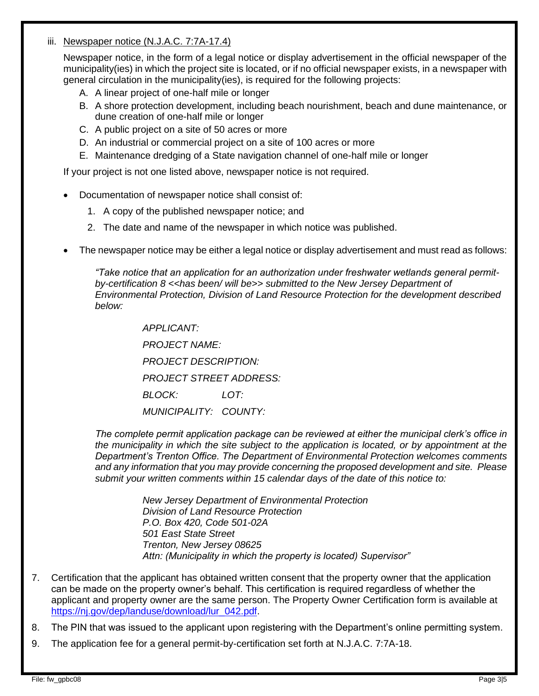### iii. Newspaper notice (N.J.A.C. 7:7A-17.4)

Newspaper notice, in the form of a legal notice or display advertisement in the official newspaper of the municipality(ies) in which the project site is located, or if no official newspaper exists, in a newspaper with general circulation in the municipality(ies), is required for the following projects:

- A. A linear project of one-half mile or longer
- B. A shore protection development, including beach nourishment, beach and dune maintenance, or dune creation of one-half mile or longer
- C. A public project on a site of 50 acres or more
- D. An industrial or commercial project on a site of 100 acres or more
- E. Maintenance dredging of a State navigation channel of one-half mile or longer

If your project is not one listed above, newspaper notice is not required.

- Documentation of newspaper notice shall consist of:
	- 1. A copy of the published newspaper notice; and
	- 2. The date and name of the newspaper in which notice was published.
- The newspaper notice may be either a legal notice or display advertisement and must read as follows:

*"Take notice that an application for an authorization under freshwater wetlands general permit*by-certification 8 << has been/ will be>> submitted to the New Jersey Department of *Environmental Protection, Division of Land Resource Protection for the development described below:*

> *APPLICANT: PROJECT NAME: PROJECT DESCRIPTION: PROJECT STREET ADDRESS: BLOCK: LOT: MUNICIPALITY: COUNTY:*

*The complete permit application package can be reviewed at either the municipal clerk's office in the municipality in which the site subject to the application is located, or by appointment at the Department's Trenton Office. The Department of Environmental Protection welcomes comments and any information that you may provide concerning the proposed development and site. Please submit your written comments within 15 calendar days of the date of this notice to:*

> *New Jersey Department of Environmental Protection Division of Land Resource Protection P.O. Box 420, Code 501-02A 501 East State Street Trenton, New Jersey 08625 Attn: (Municipality in which the property is located) Supervisor"*

- 7. Certification that the applicant has obtained written consent that the property owner that the application can be made on the property owner's behalf. This certification is required regardless of whether the applicant and property owner are the same person. The Property Owner Certification form is available at [https://nj.gov/dep/landuse/download/lur\\_042.pdf.](https://nj.gov/dep/landuse/download/lur_042.pdf)
- 8. The PIN that was issued to the applicant upon registering with the Department's online permitting system.
- 9. The application fee for a general permit-by-certification set forth at N.J.A.C. 7:7A-18.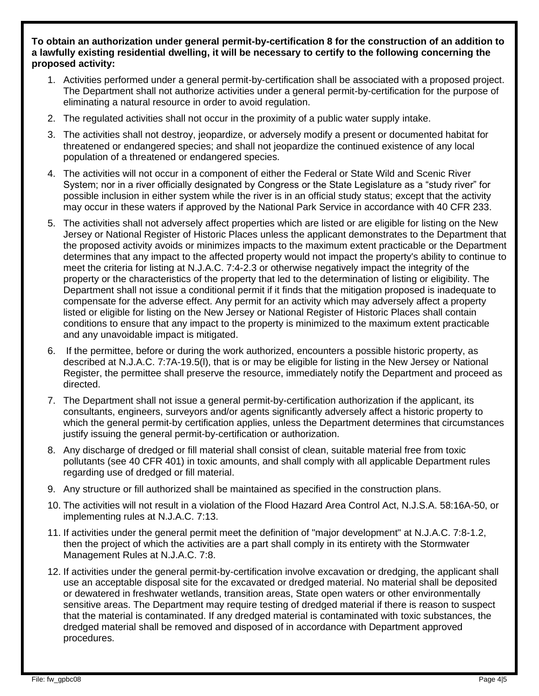**To obtain an authorization under general permit-by-certification 8 for the construction of an addition to a lawfully existing residential dwelling, it will be necessary to certify to the following concerning the proposed activity:**

- 1. Activities performed under a general permit-by-certification shall be associated with a proposed project. The Department shall not authorize activities under a general permit-by-certification for the purpose of eliminating a natural resource in order to avoid regulation.
- 2. The regulated activities shall not occur in the proximity of a public water supply intake.
- 3. The activities shall not destroy, jeopardize, or adversely modify a present or documented habitat for threatened or endangered species; and shall not jeopardize the continued existence of any local population of a threatened or endangered species.
- 4. The activities will not occur in a component of either the Federal or State Wild and Scenic River System; nor in a river officially designated by Congress or the State Legislature as a "study river" for possible inclusion in either system while the river is in an official study status; except that the activity may occur in these waters if approved by the National Park Service in accordance with 40 CFR 233.
- 5. The activities shall not adversely affect properties which are listed or are eligible for listing on the New Jersey or National Register of Historic Places unless the applicant demonstrates to the Department that the proposed activity avoids or minimizes impacts to the maximum extent practicable or the Department determines that any impact to the affected property would not impact the property's ability to continue to meet the criteria for listing at N.J.A.C. 7:4-2.3 or otherwise negatively impact the integrity of the property or the characteristics of the property that led to the determination of listing or eligibility. The Department shall not issue a conditional permit if it finds that the mitigation proposed is inadequate to compensate for the adverse effect. Any permit for an activity which may adversely affect a property listed or eligible for listing on the New Jersey or National Register of Historic Places shall contain conditions to ensure that any impact to the property is minimized to the maximum extent practicable and any unavoidable impact is mitigated.
- 6. If the permittee, before or during the work authorized, encounters a possible historic property, as described at N.J.A.C. 7:7A-19.5(l), that is or may be eligible for listing in the New Jersey or National Register, the permittee shall preserve the resource, immediately notify the Department and proceed as directed.
- 7. The Department shall not issue a general permit-by-certification authorization if the applicant, its consultants, engineers, surveyors and/or agents significantly adversely affect a historic property to which the general permit-by certification applies, unless the Department determines that circumstances justify issuing the general permit-by-certification or authorization.
- 8. Any discharge of dredged or fill material shall consist of clean, suitable material free from toxic pollutants (see 40 CFR 401) in toxic amounts, and shall comply with all applicable Department rules regarding use of dredged or fill material.
- 9. Any structure or fill authorized shall be maintained as specified in the construction plans.
- 10. The activities will not result in a violation of the Flood Hazard Area Control Act, N.J.S.A. 58:16A-50, or implementing rules at N.J.A.C. 7:13.
- 11. If activities under the general permit meet the definition of "major development" at N.J.A.C. 7:8-1.2, then the project of which the activities are a part shall comply in its entirety with the Stormwater Management Rules at N.J.A.C. 7:8.
- 12. If activities under the general permit-by-certification involve excavation or dredging, the applicant shall use an acceptable disposal site for the excavated or dredged material. No material shall be deposited or dewatered in freshwater wetlands, transition areas, State open waters or other environmentally sensitive areas. The Department may require testing of dredged material if there is reason to suspect that the material is contaminated. If any dredged material is contaminated with toxic substances, the dredged material shall be removed and disposed of in accordance with Department approved procedures.